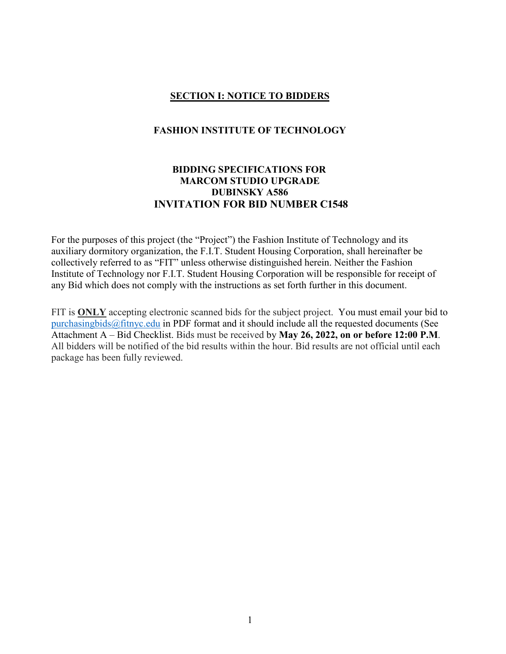### **SECTION I: NOTICE TO BIDDERS**

#### **FASHION INSTITUTE OF TECHNOLOGY**

# **BIDDING SPECIFICATIONS FOR MARCOM STUDIO UPGRADE DUBINSKY A586 INVITATION FOR BID NUMBER C1548**

For the purposes of this project (the "Project") the Fashion Institute of Technology and its auxiliary dormitory organization, the F.I.T. Student Housing Corporation, shall hereinafter be collectively referred to as "FIT" unless otherwise distinguished herein. Neither the Fashion Institute of Technology nor F.I.T. Student Housing Corporation will be responsible for receipt of any Bid which does not comply with the instructions as set forth further in this document.

FIT is **ONLY** accepting electronic scanned bids for the subject project. You must email your bid to [purchasingbids@fitnyc.edu](mailto:purchasingbids@fitnyc.edu) in PDF format and it should include all the requested documents (See Attachment A – Bid Checklist. Bids must be received by **May 26, 2022, on or before 12:00 P.M**. All bidders will be notified of the bid results within the hour. Bid results are not official until each package has been fully reviewed.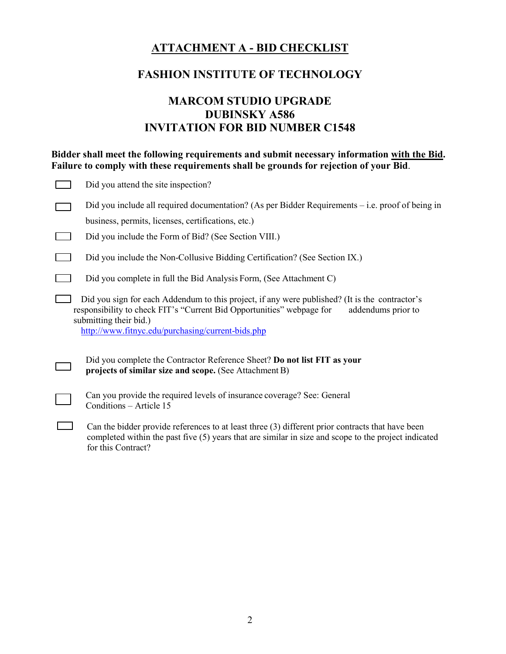# **ATTACHMENT A - BID CHECKLIST**

# **FASHION INSTITUTE OF TECHNOLOGY**

# **MARCOM STUDIO UPGRADE DUBINSKY A586 INVITATION FOR BID NUMBER C1548**

| Bidder shall meet the following requirements and submit necessary information with the Bid.<br>Failure to comply with these requirements shall be grounds for rejection of your Bid. |                                                                                                                                                                                                                                                                              |  |  |  |  |
|--------------------------------------------------------------------------------------------------------------------------------------------------------------------------------------|------------------------------------------------------------------------------------------------------------------------------------------------------------------------------------------------------------------------------------------------------------------------------|--|--|--|--|
|                                                                                                                                                                                      | Did you attend the site inspection?                                                                                                                                                                                                                                          |  |  |  |  |
|                                                                                                                                                                                      | Did you include all required documentation? (As per Bidder Requirements – i.e. proof of being in<br>business, permits, licenses, certifications, etc.)                                                                                                                       |  |  |  |  |
|                                                                                                                                                                                      | Did you include the Form of Bid? (See Section VIII.)                                                                                                                                                                                                                         |  |  |  |  |
|                                                                                                                                                                                      | Did you include the Non-Collusive Bidding Certification? (See Section IX.)                                                                                                                                                                                                   |  |  |  |  |
|                                                                                                                                                                                      | Did you complete in full the Bid Analysis Form, (See Attachment C)                                                                                                                                                                                                           |  |  |  |  |
|                                                                                                                                                                                      | Did you sign for each Addendum to this project, if any were published? (It is the contractor's<br>responsibility to check FIT's "Current Bid Opportunities" webpage for<br>addendums prior to<br>submitting their bid.)<br>http://www.fitnyc.edu/purchasing/current-bids.php |  |  |  |  |
|                                                                                                                                                                                      | Did you complete the Contractor Reference Sheet? Do not list FIT as your<br>projects of similar size and scope. (See Attachment B)                                                                                                                                           |  |  |  |  |
|                                                                                                                                                                                      | Can you provide the required levels of insurance coverage? See: General<br>Conditions - Article 15                                                                                                                                                                           |  |  |  |  |
|                                                                                                                                                                                      | Can the bidder provide references to at least three (3) different prior contracts that have been<br>completed within the past five (5) years that are similar in size and scope to the project indicated<br>for this Contract?                                               |  |  |  |  |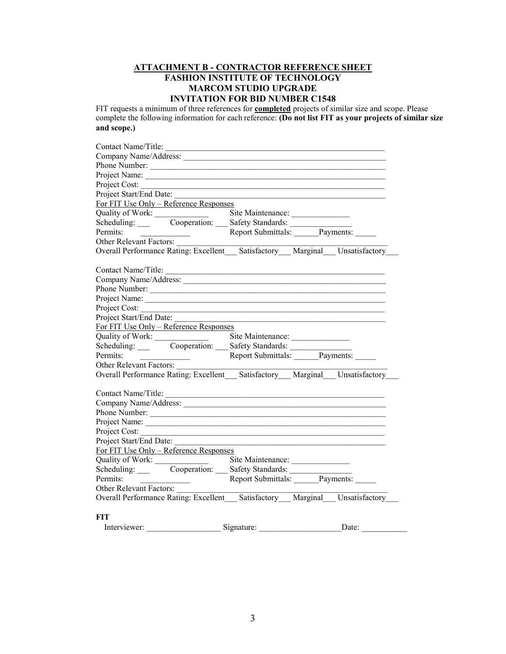#### **ATTACHMENT B - CONTRACTOR REFERENCE SHEET FASHION INSTITUTE OF TECHNOLOGY MARCOM STUDIO UPGRADE INVITATION FOR BID NUMBER C1548**

FIT requests a minimum of three references for **completed** projects of similar size and scope. Please complete the following information for each reference: **(Do not list FIT as your projects of similar size and scope.)**

| Contact Name/Title:                                                                                                                                                                                                             |                              |       |
|---------------------------------------------------------------------------------------------------------------------------------------------------------------------------------------------------------------------------------|------------------------------|-------|
|                                                                                                                                                                                                                                 |                              |       |
|                                                                                                                                                                                                                                 |                              |       |
|                                                                                                                                                                                                                                 |                              |       |
| Project Cost:                                                                                                                                                                                                                   |                              |       |
| Project Start/End Date:                                                                                                                                                                                                         |                              |       |
| For FIT Use Only - Reference Responses                                                                                                                                                                                          |                              |       |
| Quality of Work:<br>Scheduling: Cooperation: Safety Standards:                                                                                                                                                                  |                              |       |
|                                                                                                                                                                                                                                 |                              |       |
| Permits:                                                                                                                                                                                                                        | Report Submittals: Payments: |       |
| Other Relevant Factors:                                                                                                                                                                                                         |                              |       |
| Overall Performance Rating: Excellent Satisfactory Marginal Unsatisfactory                                                                                                                                                      |                              |       |
| Contact Name/Title:                                                                                                                                                                                                             |                              |       |
|                                                                                                                                                                                                                                 |                              |       |
| Phone Number:                                                                                                                                                                                                                   |                              |       |
|                                                                                                                                                                                                                                 |                              |       |
| Project Cost:                                                                                                                                                                                                                   |                              |       |
| Project Start/End Date:                                                                                                                                                                                                         |                              |       |
| For FIT Use Only – Reference Responses                                                                                                                                                                                          |                              |       |
|                                                                                                                                                                                                                                 |                              |       |
| Quality of Work: Scheduling: Site Maintenance: Scheduling: Cooperation: Safety Standards:                                                                                                                                       |                              |       |
| Permits: Report Submittals: Payments:                                                                                                                                                                                           |                              |       |
| Other Relevant Factors:                                                                                                                                                                                                         |                              |       |
| Overall Performance Rating: Excellent Satisfactory Marginal Unsatisfactory                                                                                                                                                      |                              |       |
| Contact Name/Title:                                                                                                                                                                                                             |                              |       |
|                                                                                                                                                                                                                                 |                              |       |
|                                                                                                                                                                                                                                 |                              |       |
|                                                                                                                                                                                                                                 |                              |       |
| Project Cost:                                                                                                                                                                                                                   |                              |       |
| Project Start/End Date:                                                                                                                                                                                                         |                              |       |
| For FIT Use Only - Reference Responses                                                                                                                                                                                          |                              |       |
|                                                                                                                                                                                                                                 |                              |       |
|                                                                                                                                                                                                                                 |                              |       |
| Quality of Work:<br>Scheduling: Cooperation: Safety Standards: Permits: Permits: Permits: Permits: Permits: Permits: Permits: Payments: Permits: Payments: Permits: Payments: Payments: Payments: Payments: Payments: Payments: |                              |       |
| Other Relevant Factors:                                                                                                                                                                                                         |                              |       |
| Overall Performance Rating: Excellent Satisfactory Marginal Unsatisfactory                                                                                                                                                      |                              |       |
| <b>FIT</b>                                                                                                                                                                                                                      |                              |       |
| Interviewer:                                                                                                                                                                                                                    | Signature:                   | Date: |
|                                                                                                                                                                                                                                 |                              |       |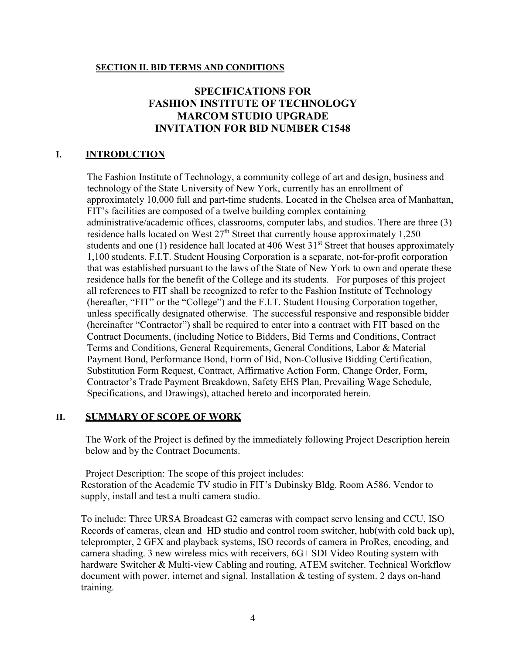#### **SECTION II. BID TERMS AND CONDITIONS**

# **SPECIFICATIONS FOR FASHION INSTITUTE OF TECHNOLOGY MARCOM STUDIO UPGRADE INVITATION FOR BID NUMBER C1548**

# **I. INTRODUCTION**

The Fashion Institute of Technology, a community college of art and design, business and technology of the State University of New York, currently has an enrollment of approximately 10,000 full and part-time students. Located in the Chelsea area of Manhattan, FIT's facilities are composed of a twelve building complex containing administrative/academic offices, classrooms, computer labs, and studios. There are three (3) residence halls located on West  $27<sup>th</sup>$  Street that currently house approximately 1,250 students and one  $(1)$  residence hall located at 406 West  $31<sup>st</sup>$  Street that houses approximately 1,100 students. F.I.T. Student Housing Corporation is a separate, not-for-profit corporation that was established pursuant to the laws of the State of New York to own and operate these residence halls for the benefit of the College and its students. For purposes of this project all references to FIT shall be recognized to refer to the Fashion Institute of Technology (hereafter, "FIT" or the "College") and the F.I.T. Student Housing Corporation together, unless specifically designated otherwise. The successful responsive and responsible bidder (hereinafter "Contractor") shall be required to enter into a contract with FIT based on the Contract Documents, (including Notice to Bidders, Bid Terms and Conditions, Contract Terms and Conditions, General Requirements, General Conditions, Labor & Material Payment Bond, Performance Bond, Form of Bid, Non-Collusive Bidding Certification, Substitution Form Request, Contract, Affirmative Action Form, Change Order, Form, Contractor's Trade Payment Breakdown, Safety EHS Plan, Prevailing Wage Schedule, Specifications, and Drawings), attached hereto and incorporated herein.

# **II. SUMMARY OF SCOPE OF WORK**

The Work of the Project is defined by the immediately following Project Description herein below and by the Contract Documents.

Project Description: The scope of this project includes: Restoration of the Academic TV studio in FIT's Dubinsky Bldg. Room A586. Vendor to supply, install and test a multi camera studio.

To include: Three URSA Broadcast G2 cameras with compact servo lensing and CCU, ISO Records of cameras, clean and HD studio and control room switcher, hub(with cold back up), teleprompter, 2 GFX and playback systems, ISO records of camera in ProRes, encoding, and camera shading. 3 new wireless mics with receivers, 6G+ SDI Video Routing system with hardware Switcher & Multi-view Cabling and routing, ATEM switcher. Technical Workflow document with power, internet and signal. Installation & testing of system. 2 days on-hand training.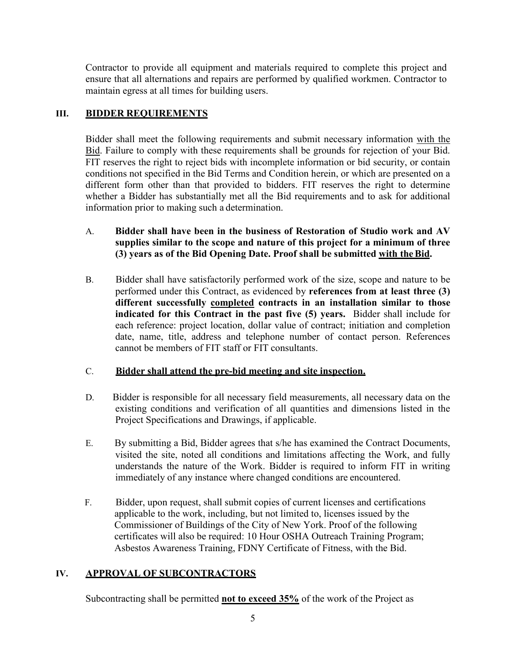Contractor to provide all equipment and materials required to complete this project and ensure that all alternations and repairs are performed by qualified workmen. Contractor to maintain egress at all times for building users.

### **III. BIDDER REQUIREMENTS**

Bidder shall meet the following requirements and submit necessary information with the Bid. Failure to comply with these requirements shall be grounds for rejection of your Bid. FIT reserves the right to reject bids with incomplete information or bid security, or contain conditions not specified in the Bid Terms and Condition herein, or which are presented on a different form other than that provided to bidders. FIT reserves the right to determine whether a Bidder has substantially met all the Bid requirements and to ask for additional information prior to making such a determination.

- A. **Bidder shall have been in the business of Restoration of Studio work and AV supplies similar to the scope and nature of this project for a minimum of three (3) years as of the Bid Opening Date. Proof shall be submitted with theBid.**
- B. Bidder shall have satisfactorily performed work of the size, scope and nature to be performed under this Contract, as evidenced by **references from at least three (3) different successfully completed contracts in an installation similar to those indicated for this Contract in the past five (5) years.** Bidder shall include for each reference: project location, dollar value of contract; initiation and completion date, name, title, address and telephone number of contact person. References cannot be members of FIT staff or FIT consultants.

### C. **Bidder shall attend the pre-bid meeting and site inspection.**

- D. Bidder is responsible for all necessary field measurements, all necessary data on the existing conditions and verification of all quantities and dimensions listed in the Project Specifications and Drawings, if applicable.
- E. By submitting a Bid, Bidder agrees that s/he has examined the Contract Documents, visited the site, noted all conditions and limitations affecting the Work, and fully understands the nature of the Work. Bidder is required to inform FIT in writing immediately of any instance where changed conditions are encountered.
- F. Bidder, upon request, shall submit copies of current licenses and certifications applicable to the work, including, but not limited to, licenses issued by the Commissioner of Buildings of the City of New York. Proof of the following certificates will also be required: 10 Hour OSHA Outreach Training Program; Asbestos Awareness Training, FDNY Certificate of Fitness, with the Bid.

# **IV. APPROVAL OF SUBCONTRACTORS**

Subcontracting shall be permitted **not to exceed 35%** of the work of the Project as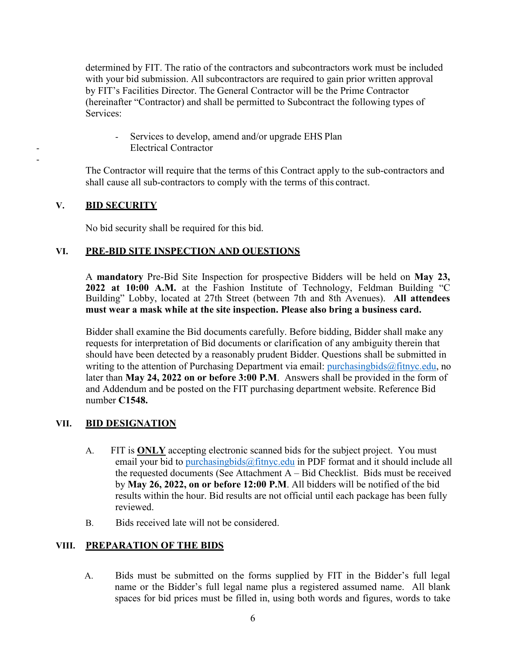determined by FIT. The ratio of the contractors and subcontractors work must be included with your bid submission. All subcontractors are required to gain prior written approval by FIT's Facilities Director. The General Contractor will be the Prime Contractor (hereinafter "Contractor) and shall be permitted to Subcontract the following types of Services:

- Services to develop, amend and/or upgrade EHS Plan Electrical Contractor

The Contractor will require that the terms of this Contract apply to the sub-contractors and shall cause all sub-contractors to comply with the terms of this contract.

### **V. BID SECURITY**

-

No bid security shall be required for this bid.

### **VI. PRE-BID SITE INSPECTION AND QUESTIONS**

A **mandatory** Pre-Bid Site Inspection for prospective Bidders will be held on **May 23, 2022 at 10:00 A.M.** at the Fashion Institute of Technology, Feldman Building "C Building" Lobby, located at 27th Street (between 7th and 8th Avenues). **All attendees must wear a mask while at the site inspection. Please also bring a business card.**

Bidder shall examine the Bid documents carefully. Before bidding, Bidder shall make any requests for interpretation of Bid documents or clarification of any ambiguity therein that should have been detected by a reasonably prudent Bidder. Questions shall be submitted in writing to the attention of Purchasing Department via email: [purchasingbids@fitnyc.edu,](mailto:purchasingbids@fitnyc.edu) no later than **May 24, 2022 on or before 3:00 P.M**. Answers shall be provided in the form of and Addendum and be posted on the FIT purchasing department website. Reference Bid number **C1548.**

### **VII. BID DESIGNATION**

- A. FIT is **ONLY** accepting electronic scanned bids for the subject project. You must email your bid to purchasing bids  $@$  fitny c. edu in PDF format and it should include all the requested documents (See Attachment A – Bid Checklist. Bids must be received by **May 26, 2022, on or before 12:00 P.M**. All bidders will be notified of the bid results within the hour. Bid results are not official until each package has been fully reviewed.
- B. Bids received late will not be considered.

### **VIII. PREPARATION OF THE BIDS**

A. Bids must be submitted on the forms supplied by FIT in the Bidder's full legal name or the Bidder's full legal name plus a registered assumed name. All blank spaces for bid prices must be filled in, using both words and figures, words to take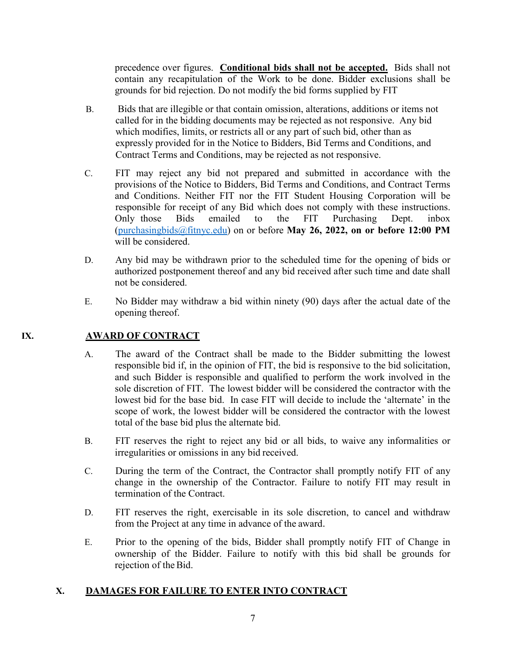precedence over figures. **Conditional bids shall not be accepted.** Bids shall not contain any recapitulation of the Work to be done. Bidder exclusions shall be grounds for bid rejection. Do not modify the bid forms supplied by FIT

- B. Bids that are illegible or that contain omission, alterations, additions or items not called for in the bidding documents may be rejected as not responsive. Any bid which modifies, limits, or restricts all or any part of such bid, other than as expressly provided for in the Notice to Bidders, Bid Terms and Conditions, and Contract Terms and Conditions, may be rejected as not responsive.
- C. FIT may reject any bid not prepared and submitted in accordance with the provisions of the Notice to Bidders, Bid Terms and Conditions, and Contract Terms and Conditions. Neither FIT nor the FIT Student Housing Corporation will be responsible for receipt of any Bid which does not comply with these instructions. Only those Bids emailed to the FIT Purchasing Dept. inbox [\(purchasingbids@fitnyc.edu\)](mailto:purchasingbids@fitnyc.edu) on or before **May 26, 2022, on or before 12:00 PM** will be considered.
- D. Any bid may be withdrawn prior to the scheduled time for the opening of bids or authorized postponement thereof and any bid received after such time and date shall not be considered.
- E. No Bidder may withdraw a bid within ninety (90) days after the actual date of the opening thereof.

### **IX. AWARD OF CONTRACT**

- A. The award of the Contract shall be made to the Bidder submitting the lowest responsible bid if, in the opinion of FIT, the bid is responsive to the bid solicitation, and such Bidder is responsible and qualified to perform the work involved in the sole discretion of FIT. The lowest bidder will be considered the contractor with the lowest bid for the base bid. In case FIT will decide to include the 'alternate' in the scope of work, the lowest bidder will be considered the contractor with the lowest total of the base bid plus the alternate bid.
- B. FIT reserves the right to reject any bid or all bids, to waive any informalities or irregularities or omissions in any bid received.
- C. During the term of the Contract, the Contractor shall promptly notify FIT of any change in the ownership of the Contractor. Failure to notify FIT may result in termination of the Contract.
- D. FIT reserves the right, exercisable in its sole discretion, to cancel and withdraw from the Project at any time in advance of the award.
- E. Prior to the opening of the bids, Bidder shall promptly notify FIT of Change in ownership of the Bidder. Failure to notify with this bid shall be grounds for rejection of the Bid.

### **X. DAMAGES FOR FAILURE TO ENTER INTO CONTRACT**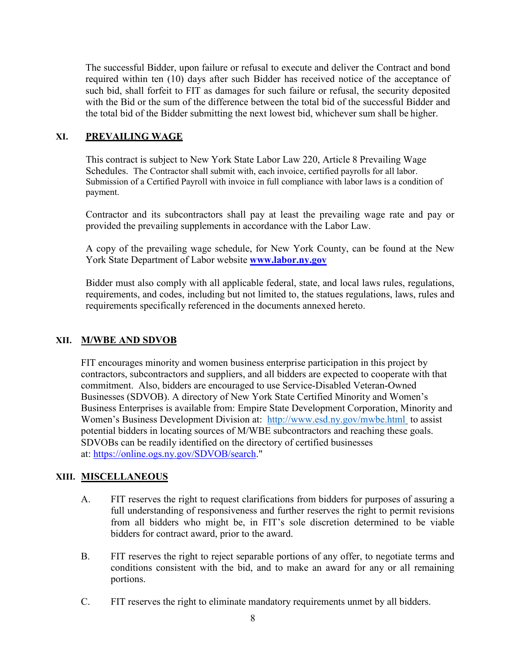The successful Bidder, upon failure or refusal to execute and deliver the Contract and bond required within ten (10) days after such Bidder has received notice of the acceptance of such bid, shall forfeit to FIT as damages for such failure or refusal, the security deposited with the Bid or the sum of the difference between the total bid of the successful Bidder and the total bid of the Bidder submitting the next lowest bid, whichever sum shall be higher.

### **XI. PREVAILING WAGE**

This contract is subject to New York State Labor Law 220, Article 8 Prevailing Wage Schedules. The Contractor shall submit with, each invoice, certified payrolls for all labor. Submission of a Certified Payroll with invoice in full compliance with labor laws is a condition of payment.

Contractor and its subcontractors shall pay at least the prevailing wage rate and pay or provided the prevailing supplements in accordance with the Labor Law.

A copy of the prevailing wage schedule, for New York County, can be found at the New York State Department of Labor website **[www.labor.ny.gov](http://www.labor.ny.gov/)**

Bidder must also comply with all applicable federal, state, and local laws rules, regulations, requirements, and codes, including but not limited to, the statues regulations, laws, rules and requirements specifically referenced in the documents annexed hereto.

### **XII. M/WBE AND SDVOB**

FIT encourages minority and women business enterprise participation in this project by contractors, subcontractors and suppliers, and all bidders are expected to cooperate with that commitment. Also, bidders are encouraged to use Service-Disabled Veteran-Owned Businesses (SDVOB). A directory of New York State Certified Minority and Women's Business Enterprises is available from: Empire State Development Corporation, Minority and Women's Business Development Division at: <http://www.esd.ny.gov/mwbe.html> to assist potential bidders in locating sources of M/WBE subcontractors and reaching these goals. SDVOBs can be readily identified on the directory of certified businesses at: [https://online.ogs.ny.gov/SDVOB/search.](https://online.ogs.ny.gov/SDVOB/search)"

# **XIII. MISCELLANEOUS**

- A. FIT reserves the right to request clarifications from bidders for purposes of assuring a full understanding of responsiveness and further reserves the right to permit revisions from all bidders who might be, in FIT's sole discretion determined to be viable bidders for contract award, prior to the award.
- B. FIT reserves the right to reject separable portions of any offer, to negotiate terms and conditions consistent with the bid, and to make an award for any or all remaining portions.
- C. FIT reserves the right to eliminate mandatory requirements unmet by all bidders.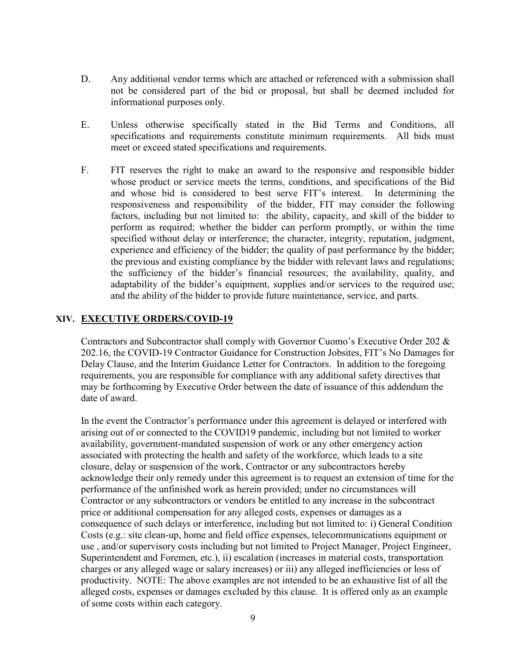- D. Any additional vendor terms which are attached or referenced with a submission shall not be considered part of the bid or proposal, but shall be deemed included for informational purposes only.
- E. Unless otherwise specifically stated in the Bid Terms and Conditions, all specifications and requirements constitute minimum requirements. All bids must meet or exceed stated specifications and requirements.
- F. FIT reserves the right to make an award to the responsive and responsible bidder whose product or service meets the terms, conditions, and specifications of the Bid and whose bid is considered to best serve FIT's interest. In determining the responsiveness and responsibility of the bidder, FIT may consider the following factors, including but not limited to: the ability, capacity, and skill of the bidder to perform as required; whether the bidder can perform promptly, or within the time specified without delay or interference; the character, integrity, reputation, judgment, experience and efficiency of the bidder; the quality of past performance by the bidder; the previous and existing compliance by the bidder with relevant laws and regulations; the sufficiency of the bidder's financial resources; the availability, quality, and adaptability of the bidder's equipment, supplies and/or services to the required use; and the ability of the bidder to provide future maintenance, service, and parts.

### **XIV. EXECUTIVE ORDERS/COVID-19**

Contractors and Subcontractor shall comply with Governor Cuomo's Executive Order 202 & 202.16, the COVID-19 Contractor Guidance for Construction Jobsites, FIT's No Damages for Delay Clause, and the Interim Guidance Letter for Contractors. In addition to the foregoing requirements, you are responsible for compliance with any additional safety directives that may be forthcoming by Executive Order between the date of issuance of this addendum the date of award.

In the event the Contractor's performance under this agreement is delayed or interfered with arising out of or connected to the COVID19 pandemic, including but not limited to worker availability, government-mandated suspension of work or any other emergency action associated with protecting the health and safety of the workforce, which leads to a site closure, delay or suspension of the work, Contractor or any subcontractors hereby acknowledge their only remedy under this agreement is to request an extension of time for the performance of the unfinished work as herein provided; under no circumstances will Contractor or any subcontractors or vendors be entitled to any increase in the subcontract price or additional compensation for any alleged costs, expenses or damages as a consequence of such delays or interference, including but not limited to: i) General Condition Costs (e.g.: site clean-up, home and field office expenses, telecommunications equipment or use , and/or supervisory costs including but not limited to Project Manager, Project Engineer, Superintendent and Foremen, etc.), ii) escalation (increases in material costs, transportation charges or any alleged wage or salary increases) or iii) any alleged inefficiencies or loss of productivity. NOTE: The above examples are not intended to be an exhaustive list of all the alleged costs, expenses or damages excluded by this clause. It is offered only as an example of some costs within each category.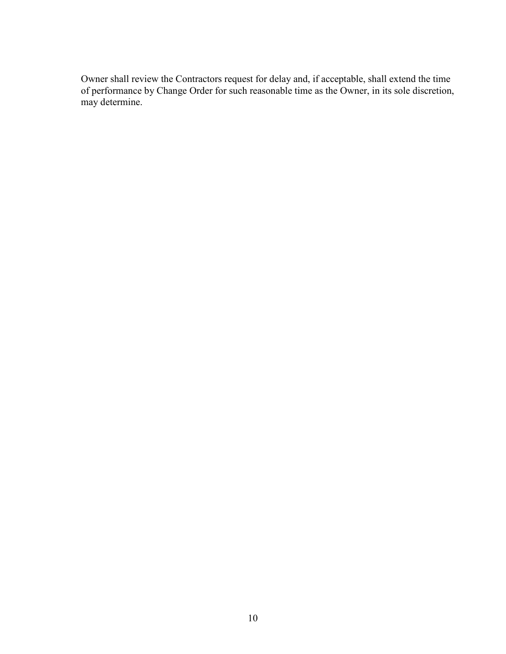Owner shall review the Contractors request for delay and, if acceptable, shall extend the time of performance by Change Order for such reasonable time as the Owner, in its sole discretion, may determine.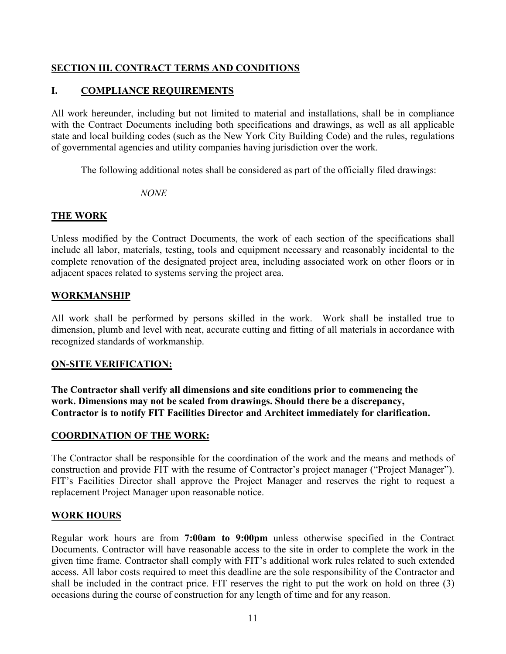# **SECTION III. CONTRACT TERMS AND CONDITIONS**

# **I. COMPLIANCE REQUIREMENTS**

All work hereunder, including but not limited to material and installations, shall be in compliance with the Contract Documents including both specifications and drawings, as well as all applicable state and local building codes (such as the New York City Building Code) and the rules, regulations of governmental agencies and utility companies having jurisdiction over the work.

The following additional notes shall be considered as part of the officially filed drawings:

*NONE*

# **THE WORK**

Unless modified by the Contract Documents, the work of each section of the specifications shall include all labor, materials, testing, tools and equipment necessary and reasonably incidental to the complete renovation of the designated project area, including associated work on other floors or in adjacent spaces related to systems serving the project area.

# **WORKMANSHIP**

All work shall be performed by persons skilled in the work. Work shall be installed true to dimension, plumb and level with neat, accurate cutting and fitting of all materials in accordance with recognized standards of workmanship.

# **ON-SITE VERIFICATION:**

**The Contractor shall verify all dimensions and site conditions prior to commencing the work. Dimensions may not be scaled from drawings. Should there be a discrepancy, Contractor is to notify FIT Facilities Director and Architect immediately for clarification.**

# **COORDINATION OF THE WORK:**

The Contractor shall be responsible for the coordination of the work and the means and methods of construction and provide FIT with the resume of Contractor's project manager ("Project Manager"). FIT's Facilities Director shall approve the Project Manager and reserves the right to request a replacement Project Manager upon reasonable notice.

# **WORK HOURS**

Regular work hours are from **7:00am to 9:00pm** unless otherwise specified in the Contract Documents. Contractor will have reasonable access to the site in order to complete the work in the given time frame. Contractor shall comply with FIT's additional work rules related to such extended access. All labor costs required to meet this deadline are the sole responsibility of the Contractor and shall be included in the contract price. FIT reserves the right to put the work on hold on three (3) occasions during the course of construction for any length of time and for any reason.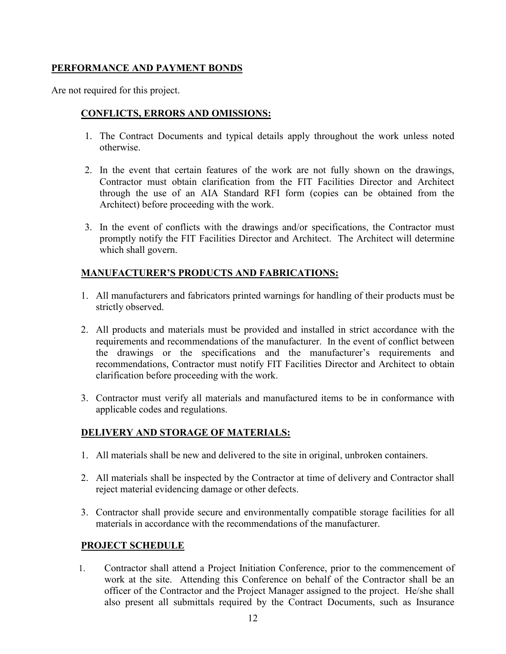# **PERFORMANCE AND PAYMENT BONDS**

Are not required for this project.

# **CONFLICTS, ERRORS AND OMISSIONS:**

- 1. The Contract Documents and typical details apply throughout the work unless noted otherwise.
- 2. In the event that certain features of the work are not fully shown on the drawings, Contractor must obtain clarification from the FIT Facilities Director and Architect through the use of an AIA Standard RFI form (copies can be obtained from the Architect) before proceeding with the work.
- 3. In the event of conflicts with the drawings and/or specifications, the Contractor must promptly notify the FIT Facilities Director and Architect. The Architect will determine which shall govern.

# **MANUFACTURER'S PRODUCTS AND FABRICATIONS:**

- 1. All manufacturers and fabricators printed warnings for handling of their products must be strictly observed.
- 2. All products and materials must be provided and installed in strict accordance with the requirements and recommendations of the manufacturer. In the event of conflict between the drawings or the specifications and the manufacturer's requirements and recommendations, Contractor must notify FIT Facilities Director and Architect to obtain clarification before proceeding with the work.
- 3. Contractor must verify all materials and manufactured items to be in conformance with applicable codes and regulations.

# **DELIVERY AND STORAGE OF MATERIALS:**

- 1. All materials shall be new and delivered to the site in original, unbroken containers.
- 2. All materials shall be inspected by the Contractor at time of delivery and Contractor shall reject material evidencing damage or other defects.
- 3. Contractor shall provide secure and environmentally compatible storage facilities for all materials in accordance with the recommendations of the manufacturer.

# **PROJECT SCHEDULE**

1. Contractor shall attend a Project Initiation Conference, prior to the commencement of work at the site. Attending this Conference on behalf of the Contractor shall be an officer of the Contractor and the Project Manager assigned to the project. He/she shall also present all submittals required by the Contract Documents, such as Insurance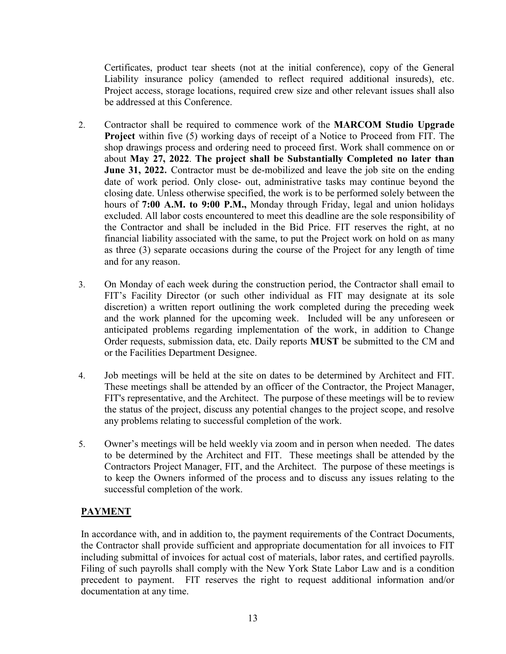Certificates, product tear sheets (not at the initial conference), copy of the General Liability insurance policy (amended to reflect required additional insureds), etc. Project access, storage locations, required crew size and other relevant issues shall also be addressed at this Conference.

- 2. Contractor shall be required to commence work of the **MARCOM Studio Upgrade Project** within five (5) working days of receipt of a Notice to Proceed from FIT. The shop drawings process and ordering need to proceed first. Work shall commence on or about **May 27, 2022**. **The project shall be Substantially Completed no later than June 31, 2022.** Contractor must be de-mobilized and leave the job site on the ending date of work period. Only close- out, administrative tasks may continue beyond the closing date. Unless otherwise specified, the work is to be performed solely between the hours of **7:00 A.M. to 9:00 P.M.,** Monday through Friday, legal and union holidays excluded. All labor costs encountered to meet this deadline are the sole responsibility of the Contractor and shall be included in the Bid Price. FIT reserves the right, at no financial liability associated with the same, to put the Project work on hold on as many as three (3) separate occasions during the course of the Project for any length of time and for any reason.
- 3. On Monday of each week during the construction period, the Contractor shall email to FIT's Facility Director (or such other individual as FIT may designate at its sole discretion) a written report outlining the work completed during the preceding week and the work planned for the upcoming week. Included will be any unforeseen or anticipated problems regarding implementation of the work, in addition to Change Order requests, submission data, etc. Daily reports **MUST** be submitted to the CM and or the Facilities Department Designee.
- 4. Job meetings will be held at the site on dates to be determined by Architect and FIT. These meetings shall be attended by an officer of the Contractor, the Project Manager, FIT's representative, and the Architect. The purpose of these meetings will be to review the status of the project, discuss any potential changes to the project scope, and resolve any problems relating to successful completion of the work.
- 5. Owner's meetings will be held weekly via zoom and in person when needed. The dates to be determined by the Architect and FIT. These meetings shall be attended by the Contractors Project Manager, FIT, and the Architect. The purpose of these meetings is to keep the Owners informed of the process and to discuss any issues relating to the successful completion of the work.

# **PAYMENT**

In accordance with, and in addition to, the payment requirements of the Contract Documents, the Contractor shall provide sufficient and appropriate documentation for all invoices to FIT including submittal of invoices for actual cost of materials, labor rates, and certified payrolls. Filing of such payrolls shall comply with the New York State Labor Law and is a condition precedent to payment. FIT reserves the right to request additional information and/or documentation at any time.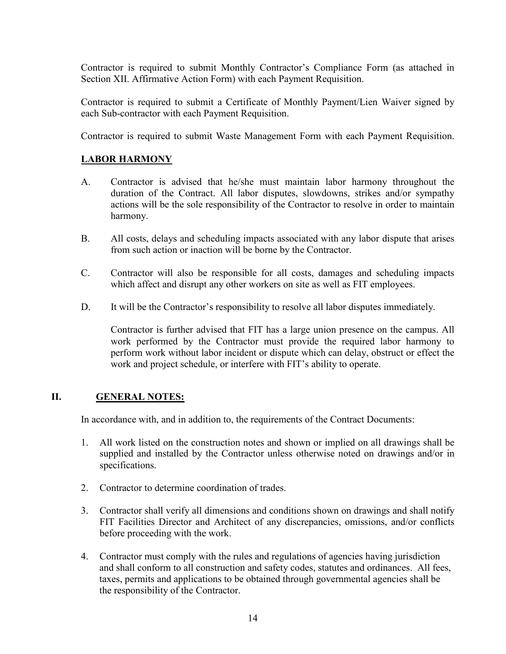Contractor is required to submit Monthly Contractor's Compliance Form (as attached in Section XII. Affirmative Action Form) with each Payment Requisition.

Contractor is required to submit a Certificate of Monthly Payment/Lien Waiver signed by each Sub-contractor with each Payment Requisition.

Contractor is required to submit Waste Management Form with each Payment Requisition.

# **LABOR HARMONY**

- A. Contractor is advised that he/she must maintain labor harmony throughout the duration of the Contract. All labor disputes, slowdowns, strikes and/or sympathy actions will be the sole responsibility of the Contractor to resolve in order to maintain harmony.
- B. All costs, delays and scheduling impacts associated with any labor dispute that arises from such action or inaction will be borne by the Contractor.
- C. Contractor will also be responsible for all costs, damages and scheduling impacts which affect and disrupt any other workers on site as well as FIT employees.
- D. It will be the Contractor's responsibility to resolve all labor disputes immediately.

Contractor is further advised that FIT has a large union presence on the campus. All work performed by the Contractor must provide the required labor harmony to perform work without labor incident or dispute which can delay, obstruct or effect the work and project schedule, or interfere with FIT's ability to operate.

# **II. GENERAL NOTES:**

In accordance with, and in addition to, the requirements of the Contract Documents:

- 1. All work listed on the construction notes and shown or implied on all drawings shall be supplied and installed by the Contractor unless otherwise noted on drawings and/or in specifications.
- 2. Contractor to determine coordination of trades.
- 3. Contractor shall verify all dimensions and conditions shown on drawings and shall notify FIT Facilities Director and Architect of any discrepancies, omissions, and/or conflicts before proceeding with the work.
- 4. Contractor must comply with the rules and regulations of agencies having jurisdiction and shall conform to all construction and safety codes, statutes and ordinances. All fees, taxes, permits and applications to be obtained through governmental agencies shall be the responsibility of the Contractor.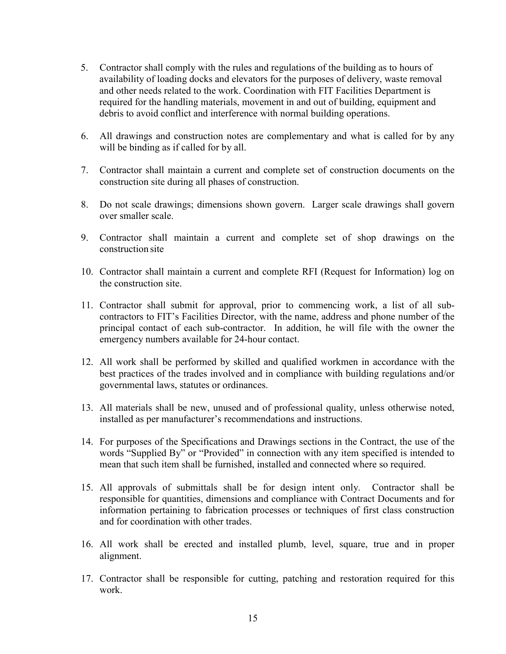- 5. Contractor shall comply with the rules and regulations of the building as to hours of availability of loading docks and elevators for the purposes of delivery, waste removal and other needs related to the work. Coordination with FIT Facilities Department is required for the handling materials, movement in and out of building, equipment and debris to avoid conflict and interference with normal building operations.
- 6. All drawings and construction notes are complementary and what is called for by any will be binding as if called for by all.
- 7. Contractor shall maintain a current and complete set of construction documents on the construction site during all phases of construction.
- 8. Do not scale drawings; dimensions shown govern. Larger scale drawings shall govern over smaller scale.
- 9. Contractor shall maintain a current and complete set of shop drawings on the construction site
- 10. Contractor shall maintain a current and complete RFI (Request for Information) log on the construction site.
- 11. Contractor shall submit for approval, prior to commencing work, a list of all subcontractors to FIT's Facilities Director, with the name, address and phone number of the principal contact of each sub-contractor. In addition, he will file with the owner the emergency numbers available for 24-hour contact.
- 12. All work shall be performed by skilled and qualified workmen in accordance with the best practices of the trades involved and in compliance with building regulations and/or governmental laws, statutes or ordinances.
- 13. All materials shall be new, unused and of professional quality, unless otherwise noted, installed as per manufacturer's recommendations and instructions.
- 14. For purposes of the Specifications and Drawings sections in the Contract, the use of the words "Supplied By" or "Provided" in connection with any item specified is intended to mean that such item shall be furnished, installed and connected where so required.
- 15. All approvals of submittals shall be for design intent only. Contractor shall be responsible for quantities, dimensions and compliance with Contract Documents and for information pertaining to fabrication processes or techniques of first class construction and for coordination with other trades.
- 16. All work shall be erected and installed plumb, level, square, true and in proper alignment.
- 17. Contractor shall be responsible for cutting, patching and restoration required for this work.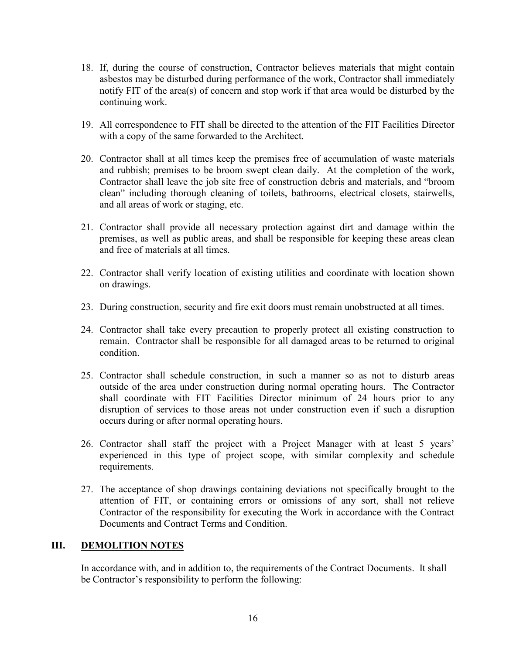- 18. If, during the course of construction, Contractor believes materials that might contain asbestos may be disturbed during performance of the work, Contractor shall immediately notify FIT of the area(s) of concern and stop work if that area would be disturbed by the continuing work.
- 19. All correspondence to FIT shall be directed to the attention of the FIT Facilities Director with a copy of the same forwarded to the Architect.
- 20. Contractor shall at all times keep the premises free of accumulation of waste materials and rubbish; premises to be broom swept clean daily. At the completion of the work, Contractor shall leave the job site free of construction debris and materials, and "broom clean" including thorough cleaning of toilets, bathrooms, electrical closets, stairwells, and all areas of work or staging, etc.
- 21. Contractor shall provide all necessary protection against dirt and damage within the premises, as well as public areas, and shall be responsible for keeping these areas clean and free of materials at all times.
- 22. Contractor shall verify location of existing utilities and coordinate with location shown on drawings.
- 23. During construction, security and fire exit doors must remain unobstructed at all times.
- 24. Contractor shall take every precaution to properly protect all existing construction to remain. Contractor shall be responsible for all damaged areas to be returned to original condition.
- 25. Contractor shall schedule construction, in such a manner so as not to disturb areas outside of the area under construction during normal operating hours. The Contractor shall coordinate with FIT Facilities Director minimum of 24 hours prior to any disruption of services to those areas not under construction even if such a disruption occurs during or after normal operating hours.
- 26. Contractor shall staff the project with a Project Manager with at least 5 years' experienced in this type of project scope, with similar complexity and schedule requirements.
- 27. The acceptance of shop drawings containing deviations not specifically brought to the attention of FIT, or containing errors or omissions of any sort, shall not relieve Contractor of the responsibility for executing the Work in accordance with the Contract Documents and Contract Terms and Condition.

### **III. DEMOLITION NOTES**

In accordance with, and in addition to, the requirements of the Contract Documents. It shall be Contractor's responsibility to perform the following: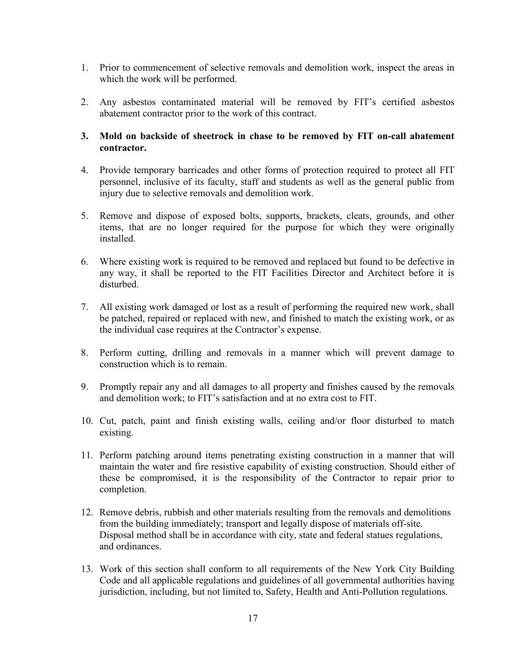- 1. Prior to commencement of selective removals and demolition work, inspect the areas in which the work will be performed.
- 2. Any asbestos contaminated material will be removed by FIT's certified asbestos abatement contractor prior to the work of this contract.

### **3. Mold on backside of sheetrock in chase to be removed by FIT on-call abatement contractor.**

- 4. Provide temporary barricades and other forms of protection required to protect all FIT personnel, inclusive of its faculty, staff and students as well as the general public from injury due to selective removals and demolition work.
- 5. Remove and dispose of exposed bolts, supports, brackets, cleats, grounds, and other items, that are no longer required for the purpose for which they were originally installed.
- 6. Where existing work is required to be removed and replaced but found to be defective in any way, it shall be reported to the FIT Facilities Director and Architect before it is disturbed.
- 7. All existing work damaged or lost as a result of performing the required new work, shall be patched, repaired or replaced with new, and finished to match the existing work, or as the individual case requires at the Contractor's expense.
- 8. Perform cutting, drilling and removals in a manner which will prevent damage to construction which is to remain.
- 9. Promptly repair any and all damages to all property and finishes caused by the removals and demolition work; to FIT's satisfaction and at no extra cost to FIT.
- 10. Cut, patch, paint and finish existing walls, ceiling and/or floor disturbed to match existing.
- 11. Perform patching around items penetrating existing construction in a manner that will maintain the water and fire resistive capability of existing construction. Should either of these be compromised, it is the responsibility of the Contractor to repair prior to completion.
- 12. Remove debris, rubbish and other materials resulting from the removals and demolitions from the building immediately; transport and legally dispose of materials off-site. Disposal method shall be in accordance with city, state and federal statues regulations, and ordinances.
- 13. Work of this section shall conform to all requirements of the New York City Building Code and all applicable regulations and guidelines of all governmental authorities having jurisdiction, including, but not limited to, Safety, Health and Anti-Pollution regulations.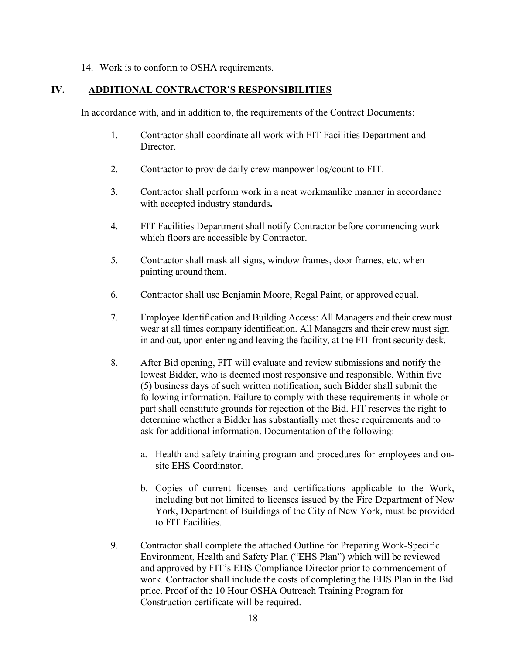14. Work is to conform to OSHA requirements.

### **IV. ADDITIONAL CONTRACTOR'S RESPONSIBILITIES**

In accordance with, and in addition to, the requirements of the Contract Documents:

- 1. Contractor shall coordinate all work with FIT Facilities Department and Director.
- 2. Contractor to provide daily crew manpower log/count to FIT.
- 3. Contractor shall perform work in a neat workmanlike manner in accordance with accepted industry standards**.**
- 4. FIT Facilities Department shall notify Contractor before commencing work which floors are accessible by Contractor.
- 5. Contractor shall mask all signs, window frames, door frames, etc. when painting around them.
- 6. Contractor shall use Benjamin Moore, Regal Paint, or approved equal.
- 7. Employee Identification and Building Access: All Managers and their crew must wear at all times company identification. All Managers and their crew must sign in and out, upon entering and leaving the facility, at the FIT front security desk.
- 8. After Bid opening, FIT will evaluate and review submissions and notify the lowest Bidder, who is deemed most responsive and responsible. Within five (5) business days of such written notification, such Bidder shall submit the following information. Failure to comply with these requirements in whole or part shall constitute grounds for rejection of the Bid. FIT reserves the right to determine whether a Bidder has substantially met these requirements and to ask for additional information. Documentation of the following:
	- a. Health and safety training program and procedures for employees and onsite EHS Coordinator.
	- b. Copies of current licenses and certifications applicable to the Work, including but not limited to licenses issued by the Fire Department of New York, Department of Buildings of the City of New York, must be provided to FIT Facilities.
- 9. Contractor shall complete the attached Outline for Preparing Work-Specific Environment, Health and Safety Plan ("EHS Plan") which will be reviewed and approved by FIT's EHS Compliance Director prior to commencement of work. Contractor shall include the costs of completing the EHS Plan in the Bid price. Proof of the 10 Hour OSHA Outreach Training Program for Construction certificate will be required.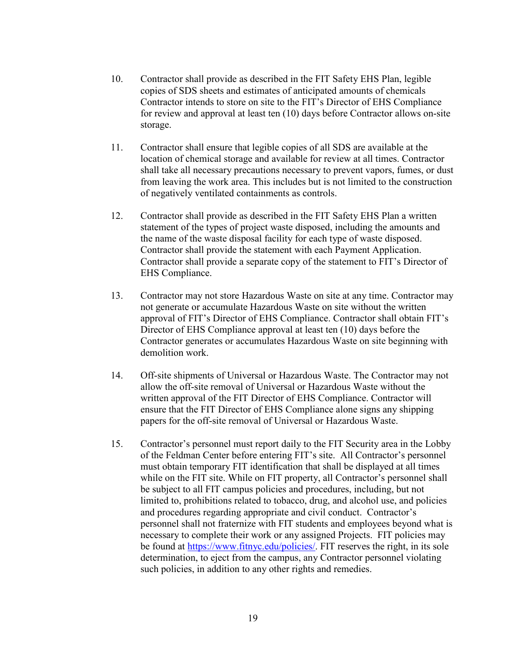- 10. Contractor shall provide as described in the FIT Safety EHS Plan, legible copies of SDS sheets and estimates of anticipated amounts of chemicals Contractor intends to store on site to the FIT's Director of EHS Compliance for review and approval at least ten (10) days before Contractor allows on-site storage.
- 11. Contractor shall ensure that legible copies of all SDS are available at the location of chemical storage and available for review at all times. Contractor shall take all necessary precautions necessary to prevent vapors, fumes, or dust from leaving the work area. This includes but is not limited to the construction of negatively ventilated containments as controls.
- 12. Contractor shall provide as described in the FIT Safety EHS Plan a written statement of the types of project waste disposed, including the amounts and the name of the waste disposal facility for each type of waste disposed. Contractor shall provide the statement with each Payment Application. Contractor shall provide a separate copy of the statement to FIT's Director of EHS Compliance.
- 13. Contractor may not store Hazardous Waste on site at any time. Contractor may not generate or accumulate Hazardous Waste on site without the written approval of FIT's Director of EHS Compliance. Contractor shall obtain FIT's Director of EHS Compliance approval at least ten (10) days before the Contractor generates or accumulates Hazardous Waste on site beginning with demolition work.
- 14. Off-site shipments of Universal or Hazardous Waste. The Contractor may not allow the off-site removal of Universal or Hazardous Waste without the written approval of the FIT Director of EHS Compliance. Contractor will ensure that the FIT Director of EHS Compliance alone signs any shipping papers for the off-site removal of Universal or Hazardous Waste.
- 15. Contractor's personnel must report daily to the FIT Security area in the Lobby of the Feldman Center before entering FIT's site. All Contractor's personnel must obtain temporary FIT identification that shall be displayed at all times while on the FIT site. While on FIT property, all Contractor's personnel shall be subject to all FIT campus policies and procedures, including, but not limited to, prohibitions related to tobacco, drug, and alcohol use, and policies and procedures regarding appropriate and civil conduct. Contractor's personnel shall not fraternize with FIT students and employees beyond what is necessary to complete their work or any assigned Projects. FIT policies may be found at [https://www.fitnyc.edu/policies/.](https://www.fitnyc.edu/policies/) FIT reserves the right, in its sole determination, to eject from the campus, any Contractor personnel violating such policies, in addition to any other rights and remedies.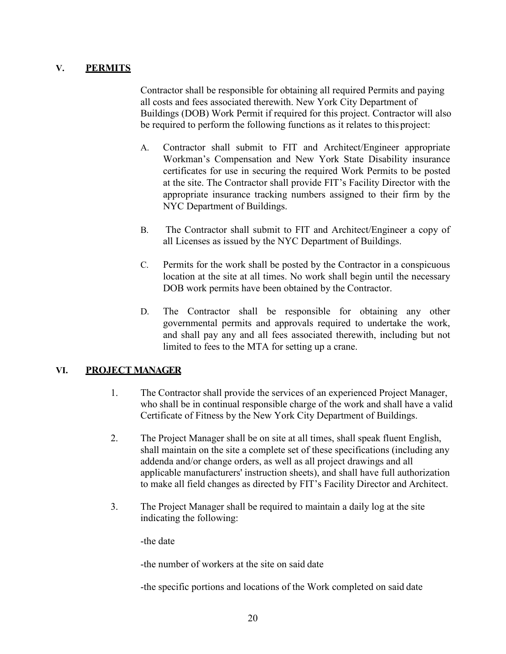# **V. PERMITS**

Contractor shall be responsible for obtaining all required Permits and paying all costs and fees associated therewith. New York City Department of Buildings (DOB) Work Permit if required for this project. Contractor will also be required to perform the following functions as it relates to thisproject:

- A. Contractor shall submit to FIT and Architect/Engineer appropriate Workman's Compensation and New York State Disability insurance certificates for use in securing the required Work Permits to be posted at the site. The Contractor shall provide FIT's Facility Director with the appropriate insurance tracking numbers assigned to their firm by the NYC Department of Buildings.
- B. The Contractor shall submit to FIT and Architect/Engineer a copy of all Licenses as issued by the NYC Department of Buildings.
- C. Permits for the work shall be posted by the Contractor in a conspicuous location at the site at all times. No work shall begin until the necessary DOB work permits have been obtained by the Contractor.
- D. The Contractor shall be responsible for obtaining any other governmental permits and approvals required to undertake the work, and shall pay any and all fees associated therewith, including but not limited to fees to the MTA for setting up a crane.

# **VI. PROJECT MANAGER**

- 1. The Contractor shall provide the services of an experienced Project Manager, who shall be in continual responsible charge of the work and shall have a valid Certificate of Fitness by the New York City Department of Buildings.
- 2. The Project Manager shall be on site at all times, shall speak fluent English, shall maintain on the site a complete set of these specifications (including any addenda and/or change orders, as well as all project drawings and all applicable manufacturers' instruction sheets), and shall have full authorization to make all field changes as directed by FIT's Facility Director and Architect.
- 3. The Project Manager shall be required to maintain a daily log at the site indicating the following:

-the date

-the number of workers at the site on said date

-the specific portions and locations of the Work completed on said date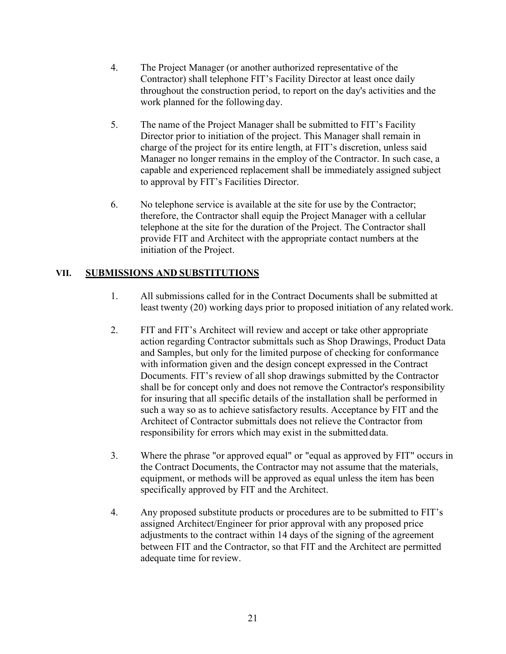- 4. The Project Manager (or another authorized representative of the Contractor) shall telephone FIT's Facility Director at least once daily throughout the construction period, to report on the day's activities and the work planned for the following day.
- 5. The name of the Project Manager shall be submitted to FIT's Facility Director prior to initiation of the project. This Manager shall remain in charge of the project for its entire length, at FIT's discretion, unless said Manager no longer remains in the employ of the Contractor. In such case, a capable and experienced replacement shall be immediately assigned subject to approval by FIT's Facilities Director.
- 6. No telephone service is available at the site for use by the Contractor; therefore, the Contractor shall equip the Project Manager with a cellular telephone at the site for the duration of the Project. The Contractor shall provide FIT and Architect with the appropriate contact numbers at the initiation of the Project.

# **VII. SUBMISSIONS AND SUBSTITUTIONS**

- 1. All submissions called for in the Contract Documents shall be submitted at least twenty (20) working days prior to proposed initiation of any related work.
- 2. FIT and FIT's Architect will review and accept or take other appropriate action regarding Contractor submittals such as Shop Drawings, Product Data and Samples, but only for the limited purpose of checking for conformance with information given and the design concept expressed in the Contract Documents. FIT's review of all shop drawings submitted by the Contractor shall be for concept only and does not remove the Contractor's responsibility for insuring that all specific details of the installation shall be performed in such a way so as to achieve satisfactory results. Acceptance by FIT and the Architect of Contractor submittals does not relieve the Contractor from responsibility for errors which may exist in the submitted data.
- 3. Where the phrase "or approved equal" or "equal as approved by FIT" occurs in the Contract Documents, the Contractor may not assume that the materials, equipment, or methods will be approved as equal unless the item has been specifically approved by FIT and the Architect.
- 4. Any proposed substitute products or procedures are to be submitted to FIT's assigned Architect/Engineer for prior approval with any proposed price adjustments to the contract within 14 days of the signing of the agreement between FIT and the Contractor, so that FIT and the Architect are permitted adequate time for review.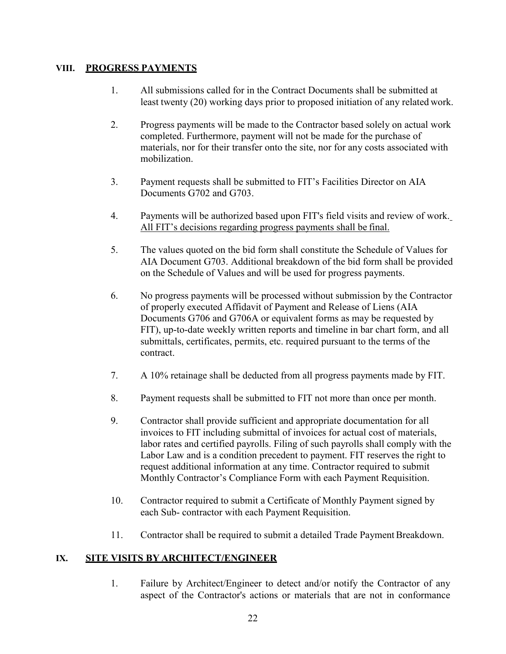# **VIII. PROGRESS PAYMENTS**

- 1. All submissions called for in the Contract Documents shall be submitted at least twenty (20) working days prior to proposed initiation of any related work.
- 2. Progress payments will be made to the Contractor based solely on actual work completed. Furthermore, payment will not be made for the purchase of materials, nor for their transfer onto the site, nor for any costs associated with mobilization.
- 3. Payment requests shall be submitted to FIT's Facilities Director on AIA Documents G702 and G703.
- 4. Payments will be authorized based upon FIT's field visits and review of work. All FIT's decisions regarding progress payments shall be final.
- 5. The values quoted on the bid form shall constitute the Schedule of Values for AIA Document G703. Additional breakdown of the bid form shall be provided on the Schedule of Values and will be used for progress payments.
- 6. No progress payments will be processed without submission by the Contractor of properly executed Affidavit of Payment and Release of Liens (AIA Documents G706 and G706A or equivalent forms as may be requested by FIT), up-to-date weekly written reports and timeline in bar chart form, and all submittals, certificates, permits, etc. required pursuant to the terms of the contract.
- 7. A 10% retainage shall be deducted from all progress payments made by FIT.
- 8. Payment requests shall be submitted to FIT not more than once per month.
- 9. Contractor shall provide sufficient and appropriate documentation for all invoices to FIT including submittal of invoices for actual cost of materials, labor rates and certified payrolls. Filing of such payrolls shall comply with the Labor Law and is a condition precedent to payment. FIT reserves the right to request additional information at any time. Contractor required to submit Monthly Contractor's Compliance Form with each Payment Requisition.
- 10. Contractor required to submit a Certificate of Monthly Payment signed by each Sub- contractor with each Payment Requisition.
- 11. Contractor shall be required to submit a detailed Trade Payment Breakdown.

# **IX. SITE VISITS BY ARCHITECT/ENGINEER**

1. Failure by Architect/Engineer to detect and/or notify the Contractor of any aspect of the Contractor's actions or materials that are not in conformance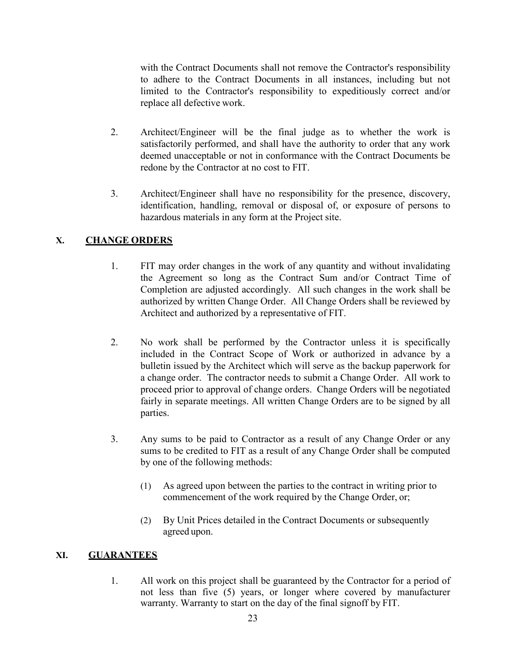with the Contract Documents shall not remove the Contractor's responsibility to adhere to the Contract Documents in all instances, including but not limited to the Contractor's responsibility to expeditiously correct and/or replace all defective work.

- 2. Architect/Engineer will be the final judge as to whether the work is satisfactorily performed, and shall have the authority to order that any work deemed unacceptable or not in conformance with the Contract Documents be redone by the Contractor at no cost to FIT.
- 3. Architect/Engineer shall have no responsibility for the presence, discovery, identification, handling, removal or disposal of, or exposure of persons to hazardous materials in any form at the Project site.

# **X. CHANGE ORDERS**

- 1. FIT may order changes in the work of any quantity and without invalidating the Agreement so long as the Contract Sum and/or Contract Time of Completion are adjusted accordingly. All such changes in the work shall be authorized by written Change Order. All Change Orders shall be reviewed by Architect and authorized by a representative of FIT.
- 2. No work shall be performed by the Contractor unless it is specifically included in the Contract Scope of Work or authorized in advance by a bulletin issued by the Architect which will serve as the backup paperwork for a change order. The contractor needs to submit a Change Order. All work to proceed prior to approval of change orders. Change Orders will be negotiated fairly in separate meetings. All written Change Orders are to be signed by all parties.
- 3. Any sums to be paid to Contractor as a result of any Change Order or any sums to be credited to FIT as a result of any Change Order shall be computed by one of the following methods:
	- (1) As agreed upon between the parties to the contract in writing prior to commencement of the work required by the Change Order, or;
	- (2) By Unit Prices detailed in the Contract Documents or subsequently agreed upon.

# **XI. GUARANTEES**

1. All work on this project shall be guaranteed by the Contractor for a period of not less than five (5) years, or longer where covered by manufacturer warranty. Warranty to start on the day of the final signoff by FIT.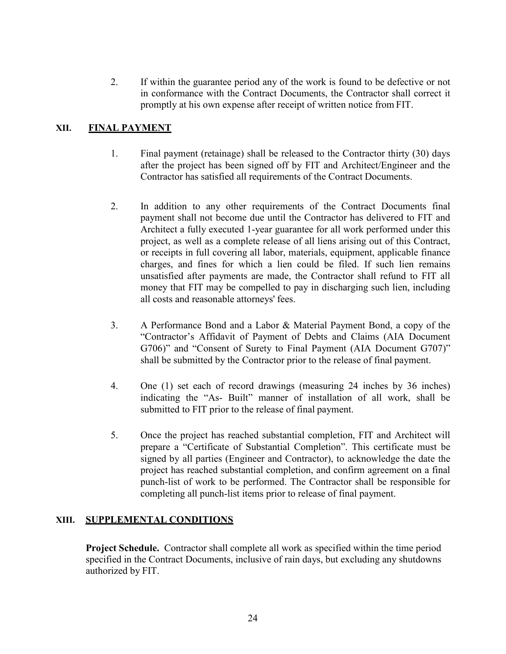2. If within the guarantee period any of the work is found to be defective or not in conformance with the Contract Documents, the Contractor shall correct it promptly at his own expense after receipt of written notice from FIT.

# **XII. FINAL PAYMENT**

- 1. Final payment (retainage) shall be released to the Contractor thirty (30) days after the project has been signed off by FIT and Architect/Engineer and the Contractor has satisfied all requirements of the Contract Documents.
- 2. In addition to any other requirements of the Contract Documents final payment shall not become due until the Contractor has delivered to FIT and Architect a fully executed 1-year guarantee for all work performed under this project, as well as a complete release of all liens arising out of this Contract, or receipts in full covering all labor, materials, equipment, applicable finance charges, and fines for which a lien could be filed. If such lien remains unsatisfied after payments are made, the Contractor shall refund to FIT all money that FIT may be compelled to pay in discharging such lien, including all costs and reasonable attorneys' fees.
- 3. A Performance Bond and a Labor & Material Payment Bond, a copy of the "Contractor's Affidavit of Payment of Debts and Claims (AIA Document G706)" and "Consent of Surety to Final Payment (AIA Document G707)" shall be submitted by the Contractor prior to the release of final payment.
- 4. One (1) set each of record drawings (measuring 24 inches by 36 inches) indicating the "As- Built" manner of installation of all work, shall be submitted to FIT prior to the release of final payment.
- 5. Once the project has reached substantial completion, FIT and Architect will prepare a "Certificate of Substantial Completion". This certificate must be signed by all parties (Engineer and Contractor), to acknowledge the date the project has reached substantial completion, and confirm agreement on a final punch-list of work to be performed. The Contractor shall be responsible for completing all punch-list items prior to release of final payment.

### **XIII. SUPPLEMENTAL CONDITIONS**

**Project Schedule.** Contractor shall complete all work as specified within the time period specified in the Contract Documents, inclusive of rain days, but excluding any shutdowns authorized by FIT.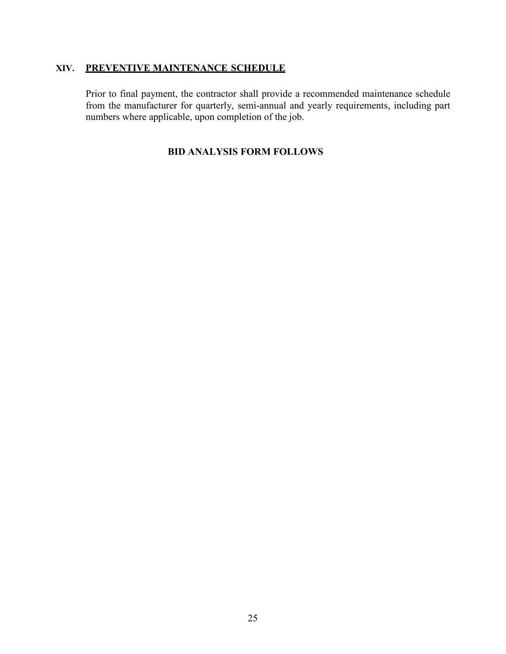# **XIV. PREVENTIVE MAINTENANCE SCHEDULE**

Prior to final payment, the contractor shall provide a recommended maintenance schedule from the manufacturer for quarterly, semi-annual and yearly requirements, including part numbers where applicable, upon completion of the job.

# **BID ANALYSIS FORM FOLLOWS**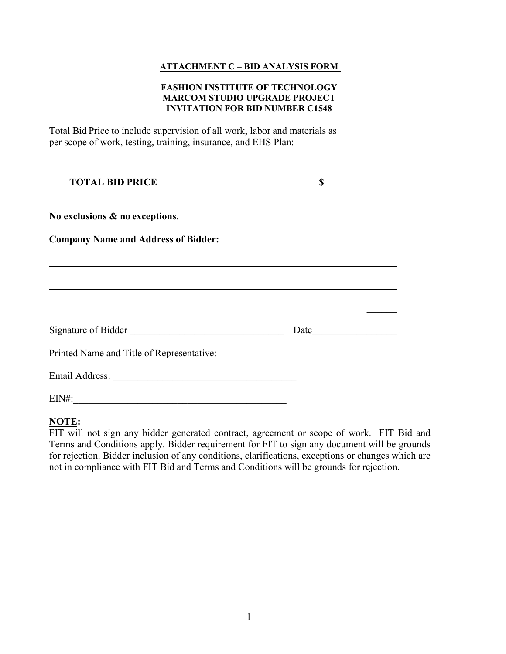### **ATTACHMENT C – BID ANALYSIS FORM**

#### **FASHION INSTITUTE OF TECHNOLOGY MARCOM STUDIO UPGRADE PROJECT INVITATION FOR BID NUMBER C1548**

Total Bid Price to include supervision of all work, labor and materials as per scope of work, testing, training, insurance, and EHS Plan:

| <b>TOTAL BID PRICE</b>                     |      |  |
|--------------------------------------------|------|--|
| No exclusions & no exceptions.             |      |  |
| <b>Company Name and Address of Bidder:</b> |      |  |
|                                            |      |  |
|                                            |      |  |
| Signature of Bidder                        | Date |  |
| Printed Name and Title of Representative:  |      |  |
|                                            |      |  |
| $EIN#$ :                                   |      |  |

### **NOTE:**

FIT will not sign any bidder generated contract, agreement or scope of work. FIT Bid and Terms and Conditions apply. Bidder requirement for FIT to sign any document will be grounds for rejection. Bidder inclusion of any conditions, clarifications, exceptions or changes which are not in compliance with FIT Bid and Terms and Conditions will be grounds for rejection.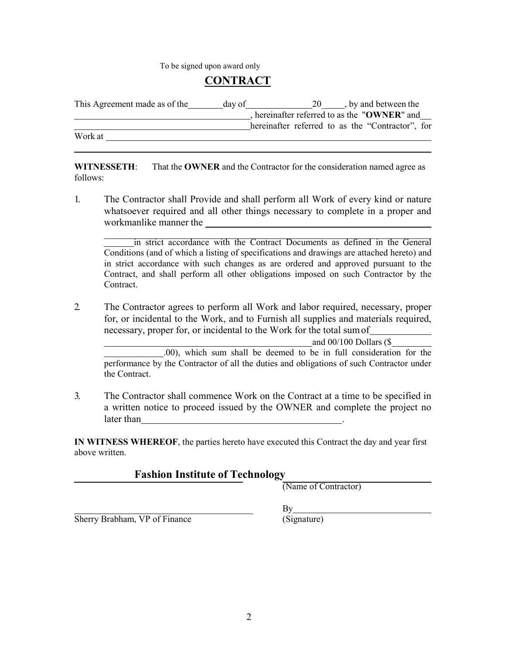To be signed upon award only

# **CONTRACT**

| This Agreement made as of the | day of | $\frac{20}{\frac{1}{2}}$ , by and between the    |
|-------------------------------|--------|--------------------------------------------------|
|                               |        | hereinafter referred to as the "OWNER" and       |
|                               |        | hereinafter referred to as the "Contractor", for |
| Work at                       |        |                                                  |

**WITNESSETH**: That the **OWNER** and the Contractor for the consideration named agree as follows:

1. The Contractor shall Provide and shall perform all Work of every kind or nature whatsoever required and all other things necessary to complete in a proper and workmanlike manner the

in strict accordance with the Contract Documents as defined in the General Conditions (and of which a listing of specifications and drawings are attached hereto) and in strict accordance with such changes as are ordered and approved pursuant to the Contract, and shall perform all other obligations imposed on such Contractor by the Contract.

2. The Contractor agrees to perform all Work and labor required, necessary, proper for, or incidental to the Work, and to Furnish all supplies and materials required, necessary, proper for, or incidental to the Work for the total sumof

and 00/100 Dollars (\$

.00), which sum shall be deemed to be in full consideration for the performance by the Contractor of all the duties and obligations of such Contractor under the Contract.

3. The Contractor shall commence Work on the Contract at a time to be specified in a written notice to proceed issued by the OWNER and complete the project no later than

**IN WITNESS WHEREOF**, the parties hereto have executed this Contract the day and year first above written.

# **Fashion Institute of Technology**

(Name of Contractor)

Sherry Brabham, VP of Finance

 $By$ (Signature)